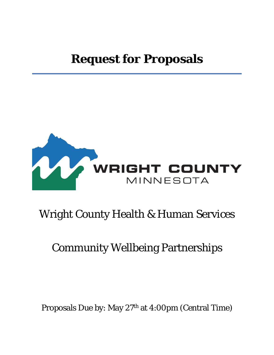# **Request for Proposals**



## Wright County Health & Human Services

## Community Wellbeing Partnerships

Proposals Due by: May 27th at 4:00pm (Central Time)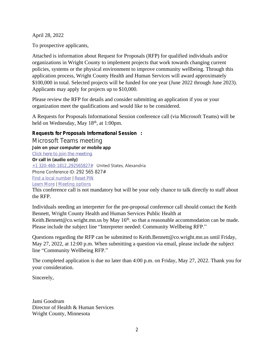April 28, 2022

To prospective applicants,

Attached is information about Request for Proposals (RFP) for qualified individuals and/or organizations in Wright County to implement projects that work towards changing current policies, systems or the physical environment to improve community wellbeing. Through this application process, Wright County Health and Human Services will award approximately \$100,000 in total. Selected projects will be funded for one year (June 2022 through June 2023). Applicants may apply for projects up to \$10,000.

Please review the RFP for details and consider submitting an application if you or your organization meet the qualifications and would like to be considered.

A Requests for Proposals Informational Session conference call (via Microsoft Teams) will be held on Wednesday, May 18<sup>th</sup>, at 1:00pm.

## **Requests for Proposals Informational Session :**

Microsoft Teams meeting **Join on your computer or mobile app [Click here to join the meeting](https://teams.microsoft.com/l/meetup-join/19%3ameeting_MDIyMjY5MDgtYjk5ZS00NWQ5LWI0MjctYjY1Zjg2Njg1ZDY2%40thread.v2/0?context=%7b%22Tid%22%3a%2286415e5d-c354-4974-a71e-158a0682c6ce%22%2c%22Oid%22%3a%220892b25d-63ad-4403-af1a-e6f28da808c3%22%7d) Or call in (audio only)** +1 320-460-1812,,292565827# United States, Alexandria Phone Conference ID: 292 565 827# [Find a local number](https://dialin.teams.microsoft.com/193ebfaf-cfd1-4be1-994d-0279ddb5d1a8?id=292565827) | [Reset PIN](https://mysettings.lync.com/pstnconferencing) [Learn More](https://aka.ms/JoinTeamsMeeting) | [Meeting options](https://teams.microsoft.com/meetingOptions/?organizerId=0892b25d-63ad-4403-af1a-e6f28da808c3&tenantId=86415e5d-c354-4974-a71e-158a0682c6ce&threadId=19_meeting_MDIyMjY5MDgtYjk5ZS00NWQ5LWI0MjctYjY1Zjg2Njg1ZDY2@thread.v2&messageId=0&language=en-US)

This conference call is not mandatory but will be your only chance to talk directly to staff about the RFP.

Individuals needing an interpreter for the pre-proposal conference call should contact the Keith Bennett, Wright County Health and Human Services Public Health at Keith.Bennett@co.wright.mn.us by May 16<sup>th</sup>. so that a reasonable accommodation can be made. Please include the subject line "Interpreter needed: Community Wellbeing RFP."

Questions regarding the RFP can be submitted to Keith.Bennett@co.wright.mn.us until Friday, May 27, 2022, at 12:00 p.m. When submitting a question via email, please include the subject line "Community Wellbeing RFP."

The completed application is due no later than 4:00 p.m. on Friday, May 27, 2022. Thank you for your consideration.

Sincerely,

Jami Goodrum Director of Health & Human Services Wright County, Minnesota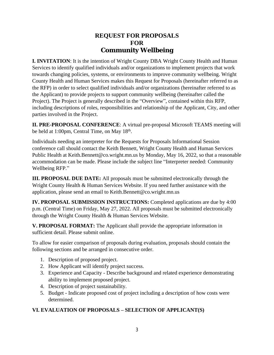## **REQUEST FOR PROPOSALS FOR Community Wellbeing**

**I. INVITATION**: It is the intention of Wright County DBA Wright County Health and Human Services to identify qualified individuals and/or organizations to implement projects that work towards changing policies, systems, or environments to improve community wellbeing. Wright County Health and Human Services makes this Request for Proposals (hereinafter referred to as the RFP) in order to select qualified individuals and/or organizations (hereinafter referred to as the Applicant) to provide projects to support community wellbeing (hereinafter called the Project). The Project is generally described in the "Overview", contained within this RFP, including descriptions of roles, responsibilities and relationship of the Applicant, City, and other parties involved in the Project.

**II. PRE-PROPOSAL CONFERENCE**: A virtual pre-proposal Microsoft TEAMS meeting will be held at 1:00pm, Central Time, on May 18<sup>th</sup>.

Individuals needing an interpreter for the Requests for Proposals Informational Session conference call should contact the Keith Bennett, Wright County Health and Human Services Public Health at Keith.Bennett@co.wright.mn.us by Monday, May 16, 2022, so that a reasonable accommodation can be made. Please include the subject line "Interpreter needed: Community Wellbeing RFP."

**III. PROPOSAL DUE DATE:** All proposals must be submitted electronically through the Wright County Health & Human Services Website. If you need further assistance with the application, please send an email to Keith.Bennett@co.wright.mn.us

**IV. PROPOSAL SUBMISSION INSTRUCTIONS:** Completed applications are due by 4:00 p.m. (Central Time) on Friday, May 27, 2022. All proposals must be submitted electronically through the Wright County Health & Human Services Website.

**V. PROPOSAL FORMAT:** The Applicant shall provide the appropriate information in sufficient detail. Please submit online.

To allow for easier comparison of proposals during evaluation, proposals should contain the following sections and be arranged in consecutive order.

- 1. Description of proposed project.
- 2. How Applicant will identify project success.
- 3. Experience and Capacity Describe background and related experience demonstrating ability to implement proposed project.
- 4. Description of project sustainability.
- 5. Budget Indicate proposed cost of project including a description of how costs were determined.

## **VI. EVALUATION OF PROPOSALS – SELECTION OF APPLICANT(S)**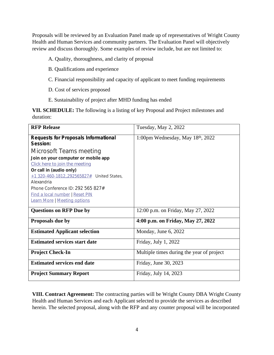Proposals will be reviewed by an Evaluation Panel made up of representatives of Wright County Health and Human Services and community partners. The Evaluation Panel will objectively review and discuss thoroughly. Some examples of review include, but are not limited to:

- A. Quality, thoroughness, and clarity of proposal
- B. Qualifications and experience
- C. Financial responsibility and capacity of applicant to meet funding requirements
- D. Cost of services proposed
- E. Sustainability of project after MHD funding has ended

**VII. SCHEDULE:** The following is a listing of key Proposal and Project milestones and duration:

| <b>RFP Release</b>                                      | Tuesday, May 2, 2022                      |
|---------------------------------------------------------|-------------------------------------------|
| <b>Requests for Proposals Informational</b><br>Session: | 1:00pm Wednesday, May $18th$ , 2022       |
| Microsoft Teams meeting                                 |                                           |
| Join on your computer or mobile app                     |                                           |
| Click here to join the meeting                          |                                           |
| Or call in (audio only)                                 |                                           |
| $+1$ 320-460-1812, 292565827# United States,            |                                           |
| Alexandria                                              |                                           |
| Phone Conference ID: 292 565 827#                       |                                           |
| <b>Find a local number   Reset PIN</b>                  |                                           |
| <b>Learn More   Meeting options</b>                     |                                           |
| <b>Questions on RFP Due by</b>                          | 12:00 p.m. on Friday, May 27, 2022        |
| Proposals due by                                        | 4:00 p.m. on Friday, May 27, 2022         |
| <b>Estimated Applicant selection</b>                    | Monday, June 6, 2022                      |
| <b>Estimated services start date</b>                    | Friday, July 1, 2022                      |
| <b>Project Check-In</b>                                 | Multiple times during the year of project |
| <b>Estimated services end date</b>                      | Friday, June 30, 2023                     |
| <b>Project Summary Report</b>                           | Friday, July 14, 2023                     |

**VIII. Contract Agreement:** The contracting parties will be Wright County DBA Wright County Health and Human Services and each Applicant selected to provide the services as described herein. The selected proposal, along with the RFP and any counter proposal will be incorporated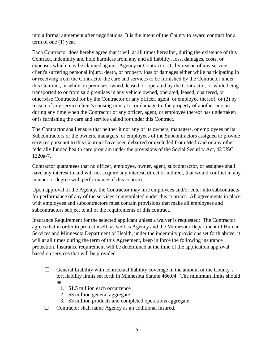into a formal agreement after negotiations. It is the intent of the County to award contract for a term of one (1) year.

Each Contractor does hereby agree that it will at all times hereafter, during the existence of this Contract, indemnify and hold harmless from any and all liability, loss, damages, costs, or expenses which may be claimed against Agency or Contractor (1) by reason of any service client's suffering personal injury, death, or property loss or damages either while participating in or receiving from the Contractor the care and services to be furnished by the Contractor under this Contract, or while on premises owned, leased, or operated by the Contractor, or while being transported to or from said premises in any vehicle owned, operated, leased, chartered, or otherwise Contracted for by the Contractor or any officer, agent, or employee thereof; or (2) by reason of any service client's causing injury to, or damage to, the property of another person during any time when the Contractor or any officer, agent, or employee thereof has undertaken or is furnishing the care and service called for under this Contract.

The Contractor shall ensure that neither it nor any of its owners, managers, or employees or its Subcontractors or the owners, managers, or employees of the Subcontractors assigned to provide services pursuant to this Contract have been debarred or excluded from Medicaid or any other federally funded health care program under the provisions of the Social Security Act, 42 USC 1320a-7.

Contractor guarantees that no officer, employee, owner, agent, subcontractor, or assignee shall have any interest in and will not acquire any interest, direct or indirect, that would conflict in any manner or degree with performance of this contract.

Upon approval of the Agency, the Contractor may hire employees and/or enter into subcontracts for performance of any of the services contemplated under this contract. All agreements in place with employees and subcontractors must contain provisions that make all employees and subcontractors subject to all of the requirements of this contract.

Insurance Requirement for the selected applicant unless a waiver is requested: The Contractor agrees that in order to protect itself, as well as Agency and the Minnesota Department of Human Services and Minnesota Department of Health, under the indemnity provisions set forth above, it will at all times during the term of this Agreement, keep in force the following insurance protection. Insurance requirement will be determined at the time of the application approval based on services that will be provided.

- $\Box$  General Liability with contractual liability coverage in the amount of the County's tort liability limits set forth in Minnesota Statute 466.04. The minimum limits should be
	- 1. \$1.5 million each occurrence
	- 2. \$3 million general aggregate
	- 3. \$3 million products and completed operations aggregate
- ☐ Contractor shall name Agency as an additional insured.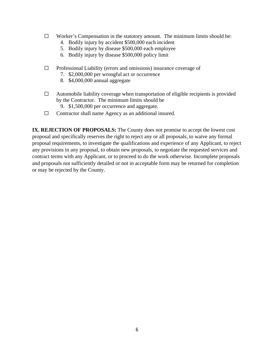- $\Box$  Worker's Compensation in the statutory amount. The minimum limits should be:
	- 4. Bodily injury by accident \$500,000 each incident
	- 5. Bodily injury by disease \$500,000 each employee
	- 6. Bodily injury by disease \$500,000 policy limit
- $\Box$  Professional Liability (errors and omissions) insurance coverage of
	- 7. \$2,000,000 per wrongful act or occurrence
	- 8. \$4,000,000 annual aggregate
- $\Box$  Automobile liability coverage when transportation of eligible recipients is provided by the Contractor. The minimum limits should be
	- 9. \$1,500,000 per occurrence and aggregate.
- ☐ Contractor shall name Agency as an additional insured.

**IX. REJECTION OF PROPOSALS:** The County does not promise to accept the lowest cost proposal and specifically reserves the right to reject any or all proposals, to waive any formal proposal requirements, to investigate the qualifications and experience of any Applicant, to reject any provisions in any proposal, to obtain new proposals, to negotiate the requested services and contract terms with any Applicant, or to proceed to do the work otherwise. Incomplete proposals and proposals not sufficiently detailed or not in acceptable form may be returned for completion or may be rejected by the County.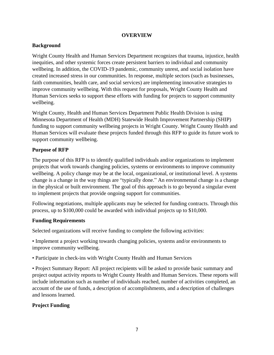#### **OVERVIEW**

## **Background**

Wright County Health and Human Services Department recognizes that trauma, injustice, health inequities, and other systemic forces create persistent barriers to individual and community wellbeing. In addition, the COVID-19 pandemic, community unrest, and social isolation have created increased stress in our communities. In response, multiple sectors (such as businesses, faith communities, health care, and social services) are implementing innovative strategies to improve community wellbeing. With this request for proposals, Wright County Health and Human Services seeks to support these efforts with funding for projects to support community wellbeing.

Wright County, Health and Human Services Department Public Health Division is using Minnesota Department of Health (MDH) Statewide Health Improvement Partnership (SHIP) funding to support community wellbeing projects in Wright County. Wright County Health and Human Services will evaluate these projects funded through this RFP to guide its future work to support community wellbeing.

## **Purpose of RFP**

The purpose of this RFP is to identify qualified individuals and/or organizations to implement projects that work towards changing policies, systems or environments to improve community wellbeing. A policy change may be at the local, organizational, or institutional level. A systems change is a change in the way things are "typically done." An environmental change is a change in the physical or built environment. The goal of this approach is to go beyond a singular event to implement projects that provide ongoing support for communities.

Following negotiations, multiple applicants may be selected for funding contracts. Through this process, up to \$100,000 could be awarded with individual projects up to \$10,000.

## **Funding Requirements**

Selected organizations will receive funding to complete the following activities:

• Implement a project working towards changing policies, systems and/or environments to improve community wellbeing.

• Participate in check-ins with Wright County Health and Human Services

• Project Summary Report: All project recipients will be asked to provide basic summary and project output activity reports to Wright County Health and Human Services. These reports will include information such as number of individuals reached, number of activities completed, an account of the use of funds, a description of accomplishments, and a description of challenges and lessons learned.

## **Project Funding**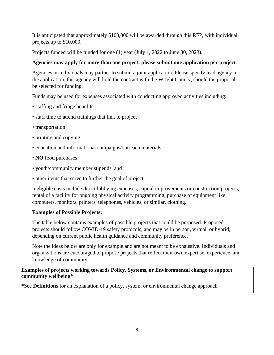It is anticipated that approximately \$100,000 will be awarded through this RFP, with individual projects up to \$10,000.

Projects funded will be funded for one (1) year (July 1, 2022 to June 30, 2023).

## **Agencies may apply for more than one project; please submit one application per project**.

Agencies or individuals may partner to submit a joint application. Please specify lead agency in the application; this agency will hold the contract with the Wright County, should the proposal be selected for funding.

Funds may be used for expenses associated with conducting approved activities including:

- staffing and fringe benefits
- staff time to attend trainings that link to project
- transportation
- printing and copying
- education and informational campaigns/outreach materials
- **NO** food purchases
- youth/community member stipends, and
- other items that serve to further the goal of project.

Ineligible costs include direct lobbying expenses, capital improvements or construction projects, rental of a facility for ongoing physical activity programming, purchase of equipment like computers, monitors, printers, telephones, vehicles, or similar, clothing.

## **Examples of Possible Projects:**

The table below contains examples of possible projects that could be proposed. Proposed projects should follow COVID-19 safety protocols, and may be in person, virtual, or hybrid, depending on current public health guidance and community preference.

Note the ideas below are only for example and are not meant to be exhaustive. Individuals and organizations are encouraged to propose projects that reflect their own expertise, experience, and knowledge of community.

**Examples of projects working towards Policy, Systems, or Environmental change to support community wellbeing\*** 

\*See **Definitions** for an explanation of a policy, system, or environmental change approach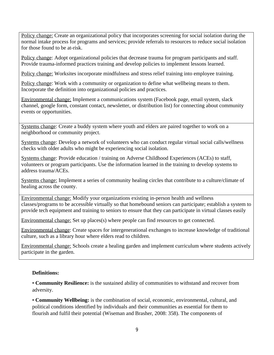Policy change: Create an organizational policy that incorporates screening for social isolation during the normal intake process for programs and services; provide referrals to resources to reduce social isolation for those found to be at-risk.

Policy change: Adopt organizational policies that decrease trauma for program participants and staff. Provide trauma-informed practices training and develop policies to implement lessons learned.

Policy change: Worksites incorporate mindfulness and stress relief training into employee training.

Policy change: Work with a community or organization to define what wellbeing means to them. Incorporate the definition into organizational policies and practices.

Environmental change: Implement a communications system (Facebook page, email system, slack channel, google form, constant contact, newsletter, or distribution list) for connecting about community events or opportunities.

Systems change: Create a buddy system where youth and elders are paired together to work on a neighborhood or community project.

Systems change: Develop a network of volunteers who can conduct regular virtual social calls/wellness checks with older adults who might be experiencing social isolation.

Systems change: Provide education / training on Adverse Childhood Experiences (ACEs) to staff, volunteers or program participants. Use the information learned in the training to develop systems to address trauma/ACEs.

Systems change: Implement a series of community healing circles that contribute to a culture/climate of healing across the county.

Environmental change: Modify your organizations existing in-person health and wellness classes/programs to be accessible virtually so that homebound seniors can participate; establish a system to provide tech equipment and training to seniors to ensure that they can participate in virtual classes easily

Environmental change: Set up places(s) where people can find resources to get connected.

Environmental change: Create spaces for intergenerational exchanges to increase knowledge of traditional culture, such as a library hour where elders read to children.

Environmental change: Schools create a healing garden and implement curriculum where students actively participate in the garden.

#### **Definitions:**

• **Community Resilience:** is the sustained ability of communities to withstand and recover from adversity.

• **Community Wellbeing:** is the combination of social, economic, environmental, cultural, and political conditions identified by individuals and their communities as essential for them to flourish and fulfil their potential (Wiseman and Brasher, 2008: 358). The components of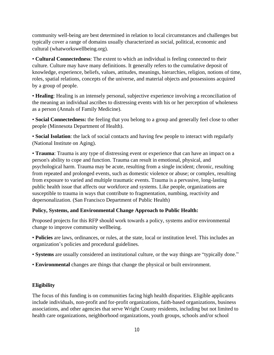community well-being are best determined in relation to local circumstances and challenges but typically cover a range of domains usually characterized as social, political, economic and cultural (whatworkswellbeing.org).

• **Cultural Connectedness**: The extent to which an individual is feeling connected to their culture. Culture may have many definitions. It generally refers to the cumulative deposit of knowledge, experience, beliefs, values, attitudes, meanings, hierarchies, religion, notions of time, roles, spatial relations, concepts of the universe, and material objects and possessions acquired by a group of people.

• **Healing**: Healing is an intensely personal, subjective experience involving a reconciliation of the meaning an individual ascribes to distressing events with his or her perception of wholeness as a person (Annals of Family Medicine).

• **Social Connectedness:** the feeling that you belong to a group and generally feel close to other people (Minnesota Department of Health).

• **Social Isolation**: the lack of social contacts and having few people to interact with regularly (National Institute on Aging).

• **Trauma**: Trauma is any type of distressing event or experience that can have an impact on a person's ability to cope and function. Trauma can result in emotional, physical, and psychological harm. Trauma may be acute, resulting from a single incident; chronic, resulting from repeated and prolonged events, such as domestic violence or abuse; or complex, resulting from exposure to varied and multiple traumatic events. Trauma is a pervasive, long-lasting public health issue that affects our workforce and systems. Like people, organizations are susceptible to trauma in ways that contribute to fragmentation, numbing, reactivity and depersonalization. (San Francisco Department of Public Health)

## **Policy, Systems, and Environmental Change Approach to Public Health:**

Proposed projects for this RFP should work towards a policy, systems and/or environmental change to improve community wellbeing.

• **Policies** are laws, ordinances, or rules, at the state, local or institution level. This includes an organization's policies and procedural guidelines.

- **Systems** are usually considered an institutional culture, or the way things are "typically done."
- **Environmental** changes are things that change the physical or built environment.

## **Eligibility**

The focus of this funding is on communities facing high health disparities. Eligible applicants include individuals, non-profit and for-profit organizations, faith-based organizations, business associations, and other agencies that serve Wright County residents, including but not limited to health care organizations, neighborhood organizations, youth groups, schools and/or school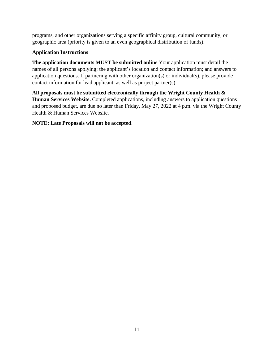programs, and other organizations serving a specific affinity group, cultural community, or geographic area (priority is given to an even geographical distribution of funds).

## **Application Instructions**

**The application documents MUST be submitted online** Your application must detail the names of all persons applying; the applicant's location and contact information; and answers to application questions. If partnering with other organization(s) or individual(s), please provide contact information for lead applicant, as well as project partner(s).

**All proposals must be submitted electronically through the Wright County Health & Human Services Website.** Completed applications, including answers to application questions and proposed budget, are due no later than Friday, May 27, 2022 at 4 p.m. via the Wright County Health & Human Services Website.

## **NOTE: Late Proposals will not be accepted**.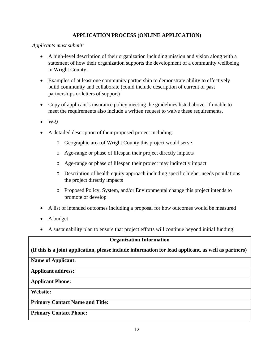## **APPLICATION PROCESS (ONLINE APPLICATION)**

*Applicants must submit:*

- A high-level description of their organization including mission and vision along with a statement of how their organization supports the development of a community wellbeing in Wright County.
- Examples of at least one community partnership to demonstrate ability to effectively build community and collaborate (could include description of current or past partnerships or letters of support)
- Copy of applicant's insurance policy meeting the guidelines listed above. If unable to meet the requirements also include a written request to waive these requirements.
- $\bullet$  W-9
- A detailed description of their proposed project including:
	- o Geographic area of Wright County this project would serve
	- o Age-range or phase of lifespan their project directly impacts
	- o Age-range or phase of lifespan their project may indirectly impact
	- o Description of health equity approach including specific higher needs populations the project directly impacts
	- o Proposed Policy, System, and/or Environmental change this project intends to promote or develop
- A list of intended outcomes including a proposal for how outcomes would be measured
- A budget
- A sustainability plan to ensure that project efforts will continue beyond initial funding

## **Organization Information**

**(If this is a joint application, please include information for lead applicant, as well as partners)**

#### **Name of Applicant:**

#### **Applicant address:**

## **Applicant Phone:**

**Website:**

## **Primary Contact Name and Title:**

## **Primary Contact Phone:**